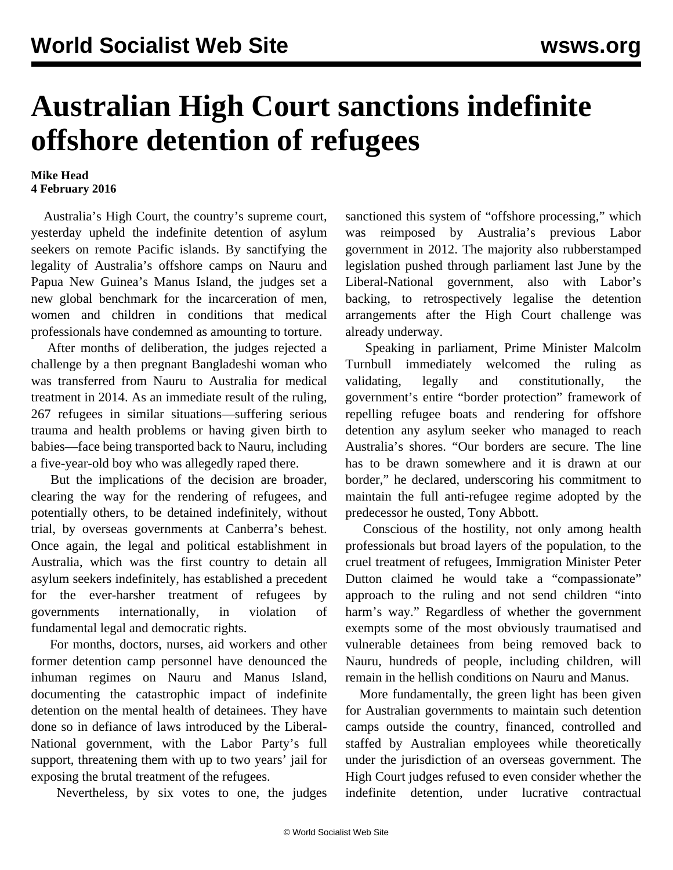## **Australian High Court sanctions indefinite offshore detention of refugees**

## **Mike Head 4 February 2016**

 Australia's High Court, the country's supreme court, yesterday upheld the indefinite detention of asylum seekers on remote Pacific islands. By sanctifying the legality of Australia's offshore camps on Nauru and Papua New Guinea's Manus Island, the judges set a new global benchmark for the incarceration of men, women and children in conditions that medical professionals have condemned as amounting to torture.

 After months of deliberation, the judges rejected a challenge by a then pregnant Bangladeshi woman who was transferred from Nauru to Australia for medical treatment in 2014. As an immediate result of the ruling, 267 refugees in similar situations—suffering serious trauma and health problems or having given birth to babies—face being transported back to Nauru, including a five-year-old boy who was allegedly raped there.

 But the implications of the decision are broader, clearing the way for the rendering of refugees, and potentially others, to be detained indefinitely, without trial, by overseas governments at Canberra's behest. Once again, the legal and political establishment in Australia, which was the first country to detain all asylum seekers indefinitely, has established a precedent for the ever-harsher treatment of refugees by governments internationally, in violation of fundamental legal and democratic rights.

 For months, doctors, nurses, aid workers and other former detention camp personnel have denounced the inhuman regimes on Nauru and Manus Island, documenting the catastrophic impact of indefinite detention on the mental health of detainees. They have done so in [defiance](/en/articles/2016/02/02/refu-f02.html) of laws introduced by the Liberal-National government, with the Labor Party's full support, threatening them with up to two years' jail for exposing the brutal treatment of the refugees.

Nevertheless, by six votes to one, the judges

sanctioned this system of "offshore processing," which was reimposed by Australia's previous Labor government in 2012. The majority also rubberstamped legislation pushed through parliament last June by the Liberal-National government, also with Labor's backing, to retrospectively legalise the detention arrangements after the High Court challenge was already underway.

 Speaking in parliament, Prime Minister Malcolm Turnbull immediately welcomed the ruling as validating, legally and constitutionally, the government's entire "border protection" framework of repelling refugee boats and rendering for offshore detention any asylum seeker who managed to reach Australia's shores. "Our borders are secure. The line has to be drawn somewhere and it is drawn at our border," he declared, underscoring his commitment to maintain the full anti-refugee regime adopted by the predecessor he ousted, Tony Abbott.

 Conscious of the hostility, not only among health professionals but broad layers of the population, to the cruel treatment of refugees, Immigration Minister Peter Dutton claimed he would take a "compassionate" approach to the ruling and not send children "into harm's way." Regardless of whether the government exempts some of the most obviously traumatised and vulnerable detainees from being removed back to Nauru, hundreds of people, including children, will remain in the hellish conditions on Nauru and Manus.

 More fundamentally, the green light has been given for Australian governments to maintain such detention camps outside the country, financed, controlled and staffed by Australian employees while theoretically under the jurisdiction of an overseas government. The High Court judges refused to even consider whether the indefinite detention, under lucrative contractual